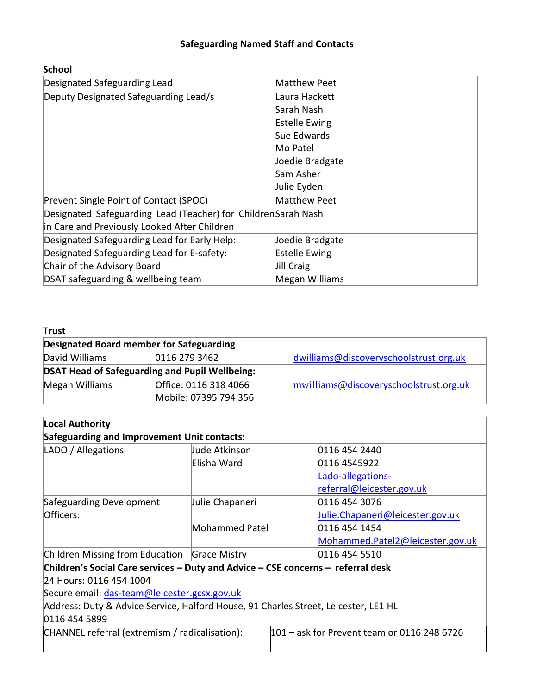## **Safeguarding Named Staff and Contacts**

| Designated Safeguarding Lead                                  | Matthew Peet         |
|---------------------------------------------------------------|----------------------|
| Deputy Designated Safeguarding Lead/s                         | Laura Hackett        |
|                                                               | Sarah Nash           |
|                                                               | <b>Estelle Ewing</b> |
|                                                               | Sue Edwards          |
|                                                               | Mo Patel             |
|                                                               | Joedie Bradgate      |
|                                                               | lSam Asher           |
|                                                               | Julie Eyden          |
| Prevent Single Point of Contact (SPOC)                        | Matthew Peet         |
| Designated Safeguarding Lead (Teacher) for ChildrenSarah Nash |                      |
| in Care and Previously Looked After Children                  |                      |
| Designated Safeguarding Lead for Early Help:                  | Joedie Bradgate      |
| Designated Safeguarding Lead for E-safety:                    | <b>Estelle Ewing</b> |
| Chair of the Advisory Board                                   | Jill Craig           |
| DSAT safeguarding & wellbeing team                            | Megan Williams       |

## **Trust**

| Designated Board member for Safeguarding |                                                       |                                                               |  |
|------------------------------------------|-------------------------------------------------------|---------------------------------------------------------------|--|
| David Williams                           | 0116 279 3462                                         | dwilliams@discoveryschoolstrust.org.uk                        |  |
|                                          | <b>DSAT Head of Safeguarding and Pupil Wellbeing:</b> |                                                               |  |
| Megan Williams                           | Office: 0116 318 4066                                 | $\text{mwilliams@}\ddot{\alpha}$ discoveryschoolstrust.org.uk |  |
|                                          | Mobile: 07395 794 356                                 |                                                               |  |

| Local Authority                                                                     |                 |                                             |  |  |  |
|-------------------------------------------------------------------------------------|-----------------|---------------------------------------------|--|--|--|
| Safeguarding and Improvement Unit contacts:                                         |                 |                                             |  |  |  |
| LADO / Allegations                                                                  | Jude Atkinson   | 0116 454 2440                               |  |  |  |
|                                                                                     | Elisha Ward     | 0116 4545922                                |  |  |  |
|                                                                                     |                 | Lado-allegations-                           |  |  |  |
|                                                                                     |                 | referral@leicester.gov.uk                   |  |  |  |
| Safeguarding Development                                                            | Julie Chapaneri | 0116 454 3076                               |  |  |  |
| Officers:                                                                           |                 | Julie. Chapaneri@leicester.gov.uk           |  |  |  |
|                                                                                     | Mohammed Patel  | 0116 454 1454                               |  |  |  |
|                                                                                     |                 | Mohammed.Patel2@leicester.gov.uk            |  |  |  |
| Children Missing from Education Grace Mistry                                        |                 | 0116 454 5510                               |  |  |  |
| Children's Social Care services - Duty and Advice - CSE concerns - referral desk    |                 |                                             |  |  |  |
| 24 Hours: 0116 454 1004                                                             |                 |                                             |  |  |  |
| Secure email: das-team@leicester.gcsx.gov.uk                                        |                 |                                             |  |  |  |
| Address: Duty & Advice Service, Halford House, 91 Charles Street, Leicester, LE1 HL |                 |                                             |  |  |  |
| 0116 454 5899                                                                       |                 |                                             |  |  |  |
| CHANNEL referral (extremism / radicalisation):                                      |                 | 101 - ask for Prevent team or 0116 248 6726 |  |  |  |

## **School**